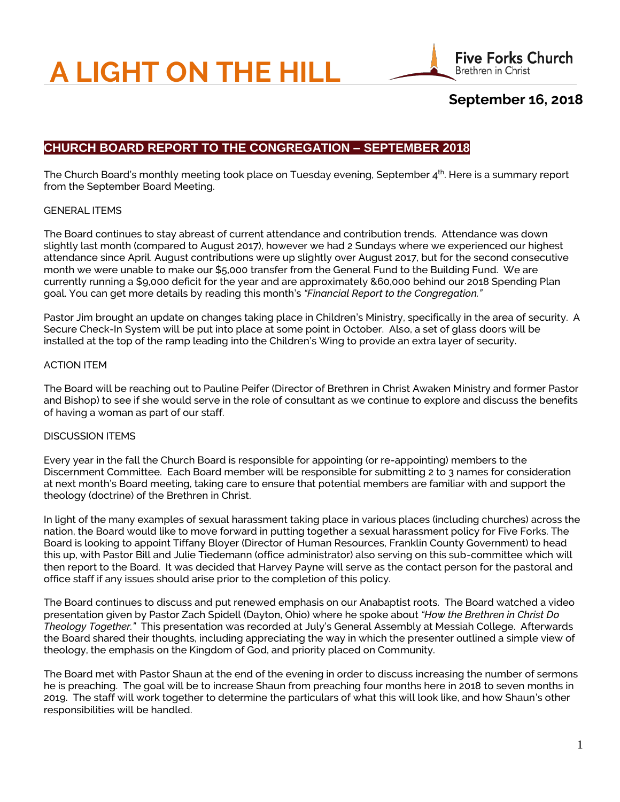# **A LIGHT ON THE HILL**



# **September 16, 2018**

# **CHURCH BOARD REPORT TO THE CONGREGATION – SEPTEMBER 2018**

The Church Board's monthly meeting took place on Tuesday evening, September 4<sup>th</sup>. Here is a summary report from the September Board Meeting.

## GENERAL ITEMS

The Board continues to stay abreast of current attendance and contribution trends. Attendance was down slightly last month (compared to August 2017), however we had 2 Sundays where we experienced our highest attendance since April. August contributions were up slightly over August 2017, but for the second consecutive month we were unable to make our \$5,000 transfer from the General Fund to the Building Fund. We are currently running a \$9,000 deficit for the year and are approximately &60,000 behind our 2018 Spending Plan goal. You can get more details by reading this month's *"Financial Report to the Congregation."*

Pastor Jim brought an update on changes taking place in Children's Ministry, specifically in the area of security. A Secure Check-In System will be put into place at some point in October. Also, a set of glass doors will be installed at the top of the ramp leading into the Children's Wing to provide an extra layer of security.

## ACTION ITEM

The Board will be reaching out to Pauline Peifer (Director of Brethren in Christ Awaken Ministry and former Pastor and Bishop) to see if she would serve in the role of consultant as we continue to explore and discuss the benefits of having a woman as part of our staff.

### DISCUSSION ITEMS

Every year in the fall the Church Board is responsible for appointing (or re-appointing) members to the Discernment Committee. Each Board member will be responsible for submitting 2 to 3 names for consideration at next month's Board meeting, taking care to ensure that potential members are familiar with and support the theology (doctrine) of the Brethren in Christ.

In light of the many examples of sexual harassment taking place in various places (including churches) across the nation, the Board would like to move forward in putting together a sexual harassment policy for Five Forks. The Board is looking to appoint Tiffany Bloyer (Director of Human Resources, Franklin County Government) to head this up, with Pastor Bill and Julie Tiedemann (office administrator) also serving on this sub-committee which will then report to the Board. It was decided that Harvey Payne will serve as the contact person for the pastoral and office staff if any issues should arise prior to the completion of this policy.

The Board continues to discuss and put renewed emphasis on our Anabaptist roots. The Board watched a video presentation given by Pastor Zach Spidell (Dayton, Ohio) where he spoke about *"How the Brethren in Christ Do Theology Together."* This presentation was recorded at July's General Assembly at Messiah College. Afterwards the Board shared their thoughts, including appreciating the way in which the presenter outlined a simple view of theology, the emphasis on the Kingdom of God, and priority placed on Community.

The Board met with Pastor Shaun at the end of the evening in order to discuss increasing the number of sermons he is preaching. The goal will be to increase Shaun from preaching four months here in 2018 to seven months in 2019. The staff will work together to determine the particulars of what this will look like, and how Shaun's other responsibilities will be handled.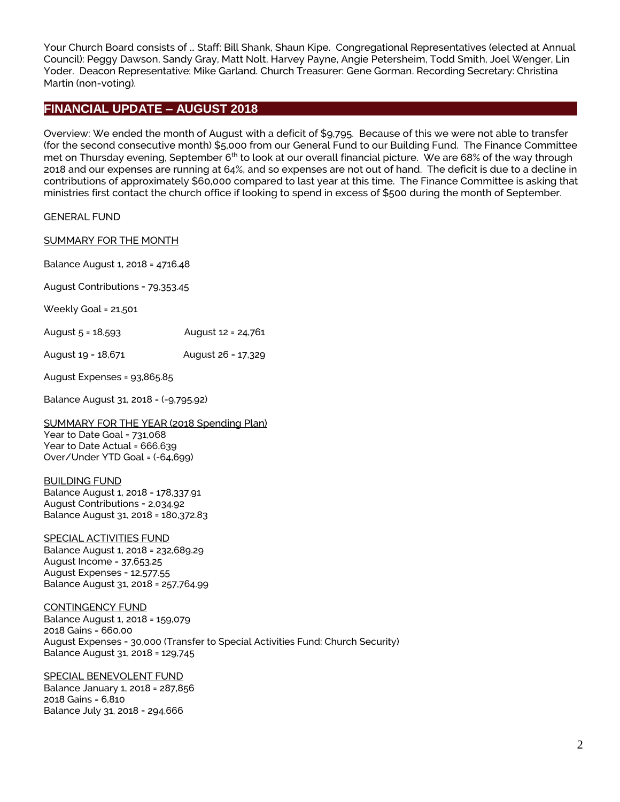Your Church Board consists of … Staff: Bill Shank, Shaun Kipe. Congregational Representatives (elected at Annual Council): Peggy Dawson, Sandy Gray, Matt Nolt, Harvey Payne, Angie Petersheim, Todd Smith, Joel Wenger, Lin Yoder. Deacon Representative: Mike Garland. Church Treasurer: Gene Gorman. Recording Secretary: Christina Martin (non-voting).

## **FINANCIAL UPDATE – AUGUST 2018**

Overview: We ended the month of August with a deficit of \$9,795. Because of this we were not able to transfer (for the second consecutive month) \$5,000 from our General Fund to our Building Fund. The Finance Committee met on Thursday evening, September 6<sup>th</sup> to look at our overall financial picture. We are 68% of the way through 2018 and our expenses are running at 64%, and so expenses are not out of hand. The deficit is due to a decline in contributions of approximately \$60,000 compared to last year at this time. The Finance Committee is asking that ministries first contact the church office if looking to spend in excess of \$500 during the month of September.

GENERAL FUND

#### SUMMARY FOR THE MONTH

Balance August 1, 2018 = 4716.48

August Contributions = 79,353.45

Weekly Goal = 21,501

| August 5 = 18,593 | August 12 = 24,761 |  |
|-------------------|--------------------|--|
|-------------------|--------------------|--|

August 19 = 18,671 August 26 = 17,329

August Expenses = 93,865.85

Balance August 31, 2018 = (-9,795.92)

### SUMMARY FOR THE YEAR (2018 Spending Plan) Year to Date Goal = 731,068

Year to Date Actual = 666,639 Over/Under YTD Goal = (-64,699)

#### BUILDING FUND

Balance August 1, 2018 = 178,337.91 August Contributions = 2,034.92 Balance August 31, 2018 = 180,372.83

## SPECIAL ACTIVITIES FUND Balance August 1, 2018 = 232,689.29

August Income = 37,653.25 August Expenses = 12,577.55 Balance August 31, 2018 = 257,764.99

#### CONTINGENCY FUND

Balance August 1, 2018 = 159,079 2018 Gains = 660.00 August Expenses = 30,000 (Transfer to Special Activities Fund: Church Security) Balance August 31, 2018 = 129,745

### SPECIAL BENEVOLENT FUND

Balance January 1, 2018 = 287,856 2018 Gains = 6,810 Balance July 31, 2018 = 294,666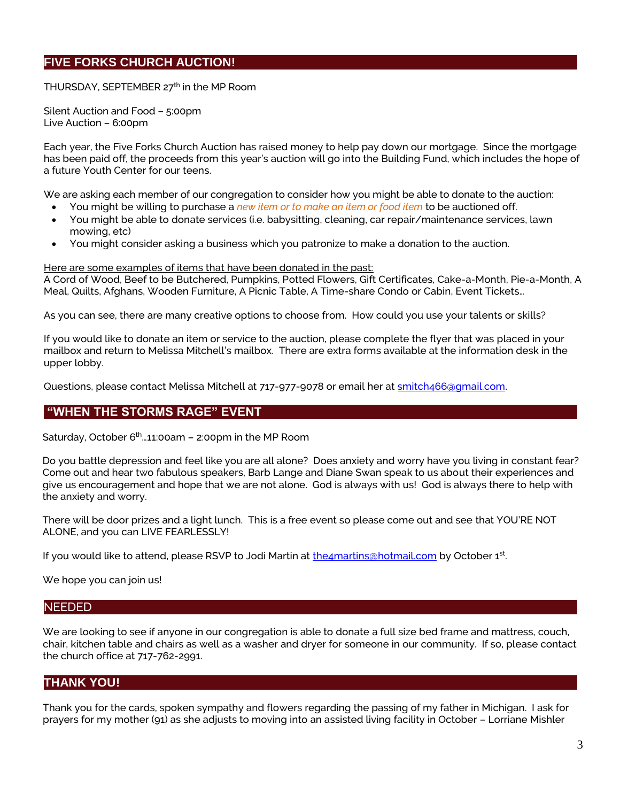# **FIVE FORKS CHURCH AUCTION!**

THURSDAY, SEPTEMBER  $27<sup>th</sup>$  in the MP Room

Silent Auction and Food – 5:00pm Live Auction – 6:00pm

Each year, the Five Forks Church Auction has raised money to help pay down our mortgage. Since the mortgage has been paid off, the proceeds from this year's auction will go into the Building Fund, which includes the hope of a future Youth Center for our teens.

We are asking each member of our congregation to consider how you might be able to donate to the auction:

- You might be willing to purchase a *new item or to make an item or food item* to be auctioned off.
- You might be able to donate services (i.e. babysitting, cleaning, car repair/maintenance services, lawn mowing, etc)
- You might consider asking a business which you patronize to make a donation to the auction.

Here are some examples of items that have been donated in the past:

A Cord of Wood, Beef to be Butchered, Pumpkins, Potted Flowers, Gift Certificates, Cake-a-Month, Pie-a-Month, A Meal, Quilts, Afghans, Wooden Furniture, A Picnic Table, A Time-share Condo or Cabin, Event Tickets…

As you can see, there are many creative options to choose from. How could you use your talents or skills?

If you would like to donate an item or service to the auction, please complete the flyer that was placed in your mailbox and return to Melissa Mitchell's mailbox. There are extra forms available at the information desk in the upper lobby.

Questions, please contact Melissa Mitchell at 717-977-9078 or email her at smitch466@qmail.com.

## **"WHEN THE STORMS RAGE" EVENT**

Saturday, October  $6<sup>th</sup>$   $\ldots$  11:00am – 2:00pm in the MP Room

Do you battle depression and feel like you are all alone? Does anxiety and worry have you living in constant fear? Come out and hear two fabulous speakers, Barb Lange and Diane Swan speak to us about their experiences and give us encouragement and hope that we are not alone. God is always with us! God is always there to help with the anxiety and worry.

There will be door prizes and a light lunch. This is a free event so please come out and see that YOU'RE NOT ALONE, and you can LIVE FEARLESSLY!

If you would like to attend, please RSVP to Jodi Martin at <u>the4martins@hotmail.com</u> by October 1st.

We hope you can join us!

### NEEDED

We are looking to see if anyone in our congregation is able to donate a full size bed frame and mattress, couch, chair, kitchen table and chairs as well as a washer and dryer for someone in our community. If so, please contact the church office at 717-762-2991.

## **THANK YOU!**

Thank you for the cards, spoken sympathy and flowers regarding the passing of my father in Michigan. I ask for prayers for my mother (91) as she adjusts to moving into an assisted living facility in October – Lorriane Mishler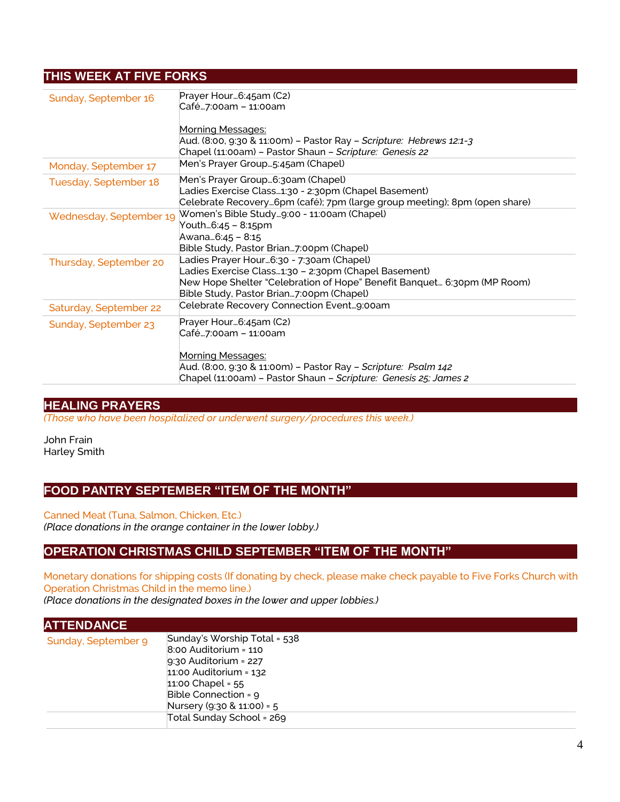# **THIS WEEK AT FIVE FORKS**

| Sunday, September 16    | Prayer Hour6:45am (C2)                                                    |
|-------------------------|---------------------------------------------------------------------------|
|                         | Café…7:00am – 11:00am                                                     |
|                         | <b>Morning Messages:</b>                                                  |
|                         | Aud. (8:00, 9:30 & 11:00m) – Pastor Ray – Scripture: Hebrews 12:1-3       |
|                         | Chapel (11:00am) - Pastor Shaun - Scripture: Genesis 22                   |
| Monday, September 17    | Men's Prayer Group5:45am (Chapel)                                         |
| Tuesday, September 18   | Men's Prayer Group6:30am (Chapel)                                         |
|                         | Ladies Exercise Class1:30 - 2:30pm (Chapel Basement)                      |
|                         | Celebrate Recovery6pm (café); 7pm (large group meeting); 8pm (open share) |
| Wednesday, September 19 | Women's Bible Study9:00 - 11:00am (Chapel)                                |
|                         | Youth6:45 – 8:15pm                                                        |
|                         | Awana6:45 - 8:15                                                          |
|                         | Bible Study, Pastor Brian7:00pm (Chapel)                                  |
| Thursday, September 20  | Ladies Prayer Hour…6:30 - 7:30am (Chapel)                                 |
|                         | Ladies Exercise Class1:30 - 2:30pm (Chapel Basement)                      |
|                         | New Hope Shelter "Celebration of Hope" Benefit Banquet 6:30pm (MP Room)   |
|                         | Bible Study, Pastor Brian7:00pm (Chapel)                                  |
| Saturday, September 22  | Celebrate Recovery Connection Event9:00am                                 |
| Sunday, September 23    | Prayer Hour…6:45am (C2)                                                   |
|                         | Café…7:00am – 11:00am                                                     |
|                         |                                                                           |
|                         | <b>Morning Messages:</b>                                                  |
|                         | Aud. (8:00, 9:30 & 11:00m) - Pastor Ray - Scripture: Psalm 142            |
|                         | Chapel (11:00am) - Pastor Shaun - Scripture: Genesis 25; James 2          |

## **HEALING PRAYERS**

*(Those who have been hospitalized or underwent surgery/procedures this week.)*

John Frain Harley Smith

## **FOOD PANTRY SEPTEMBER "ITEM OF THE MONTH"**

Canned Meat (Tuna, Salmon, Chicken, Etc.) *(Place donations in the orange container in the lower lobby.)*

## **OPERATION CHRISTMAS CHILD SEPTEMBER "ITEM OF THE MONTH"**

Monetary donations for shipping costs (If donating by check, please make check payable to Five Forks Church with Operation Christmas Child in the memo line.) *(Place donations in the designated boxes in the lower and upper lobbies.)*

| <b>ATTENDANCE</b>   |                                                                                                                                                                                                                            |
|---------------------|----------------------------------------------------------------------------------------------------------------------------------------------------------------------------------------------------------------------------|
| Sunday, September 9 | Sunday's Worship Total = 538<br>$8:00$ Auditorium = 110<br>$9:30$ Auditorium = 227<br>$11:00$ Auditorium = $132$<br>11:00 Chapel = $55$<br>Bible Connection = 9<br>Nursery (9:30 & 11:00) = 5<br>Total Sunday School = 269 |